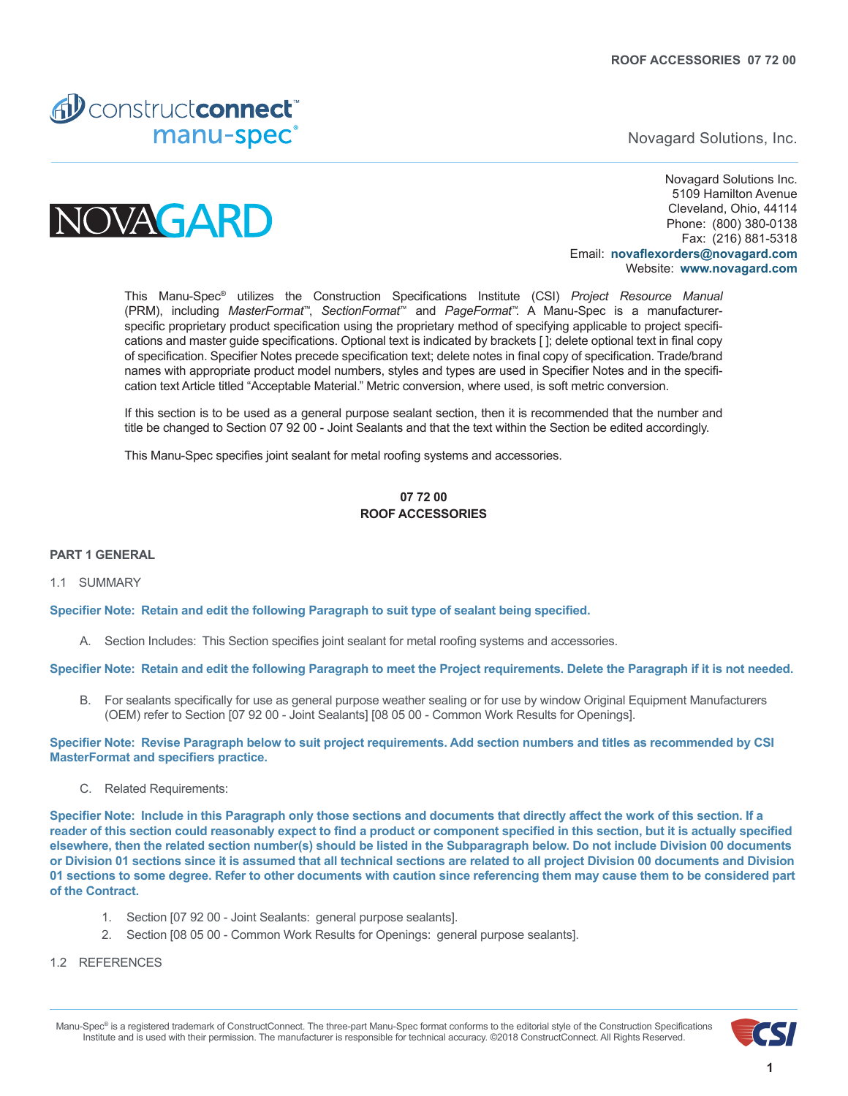

Novagard Solutions, Inc.



Novagard Solutions Inc. 5109 Hamilton Avenue Cleveland, Ohio, 44114 Phone: (800) 380-0138 Fax: (216) 881-5318 Email: **novaflexorders[@novagard.com](mailto:novaflexorders%40novagard.com?subject=Manu-Spec%20inquiry)** Website: **[www.novagard.com](http://www.novagard.com )**

This Manu-Spec® utilizes the Construction Specifications Institute (CSI) *Project Resource Manual* (PRM), including *MasterFormat*™, *SectionFormat*™ and *PageFormat*™. A Manu-Spec is a manufacturerspecific proprietary product specification using the proprietary method of specifying applicable to project specifications and master guide specifications. Optional text is indicated by brackets [ ]; delete optional text in final copy of specification. Specifier Notes precede specification text; delete notes in final copy of specification. Trade/brand names with appropriate product model numbers, styles and types are used in Specifier Notes and in the specification text Article titled "Acceptable Material." Metric conversion, where used, is soft metric conversion.

If this section is to be used as a general purpose sealant section, then it is recommended that the number and title be changed to Section 07 92 00 - Joint Sealants and that the text within the Section be edited accordingly.

This Manu-Spec specifies joint sealant for metal roofing systems and accessories.

## **07 72 00 ROOF ACCESSORIES**

#### **PART 1 GENERAL**

#### 1.1 SUMMARY

**Specifier Note: Retain and edit the following Paragraph to suit type of sealant being specified.**

A. Section Includes: This Section specifies joint sealant for metal roofing systems and accessories.

**Specifier Note: Retain and edit the following Paragraph to meet the Project requirements. Delete the Paragraph if it is not needed.**

B. For sealants specifically for use as general purpose weather sealing or for use by window Original Equipment Manufacturers (OEM) refer to Section [07 92 00 - Joint Sealants] [08 05 00 - Common Work Results for Openings].

**Specifier Note: Revise Paragraph below to suit project requirements. Add section numbers and titles as recommended by CSI MasterFormat and specifiers practice.**

C. Related Requirements:

**Specifier Note: Include in this Paragraph only those sections and documents that directly affect the work of this section. If a reader of this section could reasonably expect to find a product or component specified in this section, but it is actually specified elsewhere, then the related section number(s) should be listed in the Subparagraph below. Do not include Division 00 documents or Division 01 sections since it is assumed that all technical sections are related to all project Division 00 documents and Division 01 sections to some degree. Refer to other documents with caution since referencing them may cause them to be considered part of the Contract.**

- 1. Section [07 92 00 Joint Sealants: general purpose sealants].
- 2. Section [08 05 00 Common Work Results for Openings: general purpose sealants].
- 1.2 REFERENCES

Manu-Spec® is a registered trademark of ConstructConnect. The three-part Manu-Spec format conforms to the editorial style of the Construction Specifications Institute and is used with their permission. The manufacturer is responsible for technical accuracy. ©2018 ConstructConnect. All Rights Reserved.

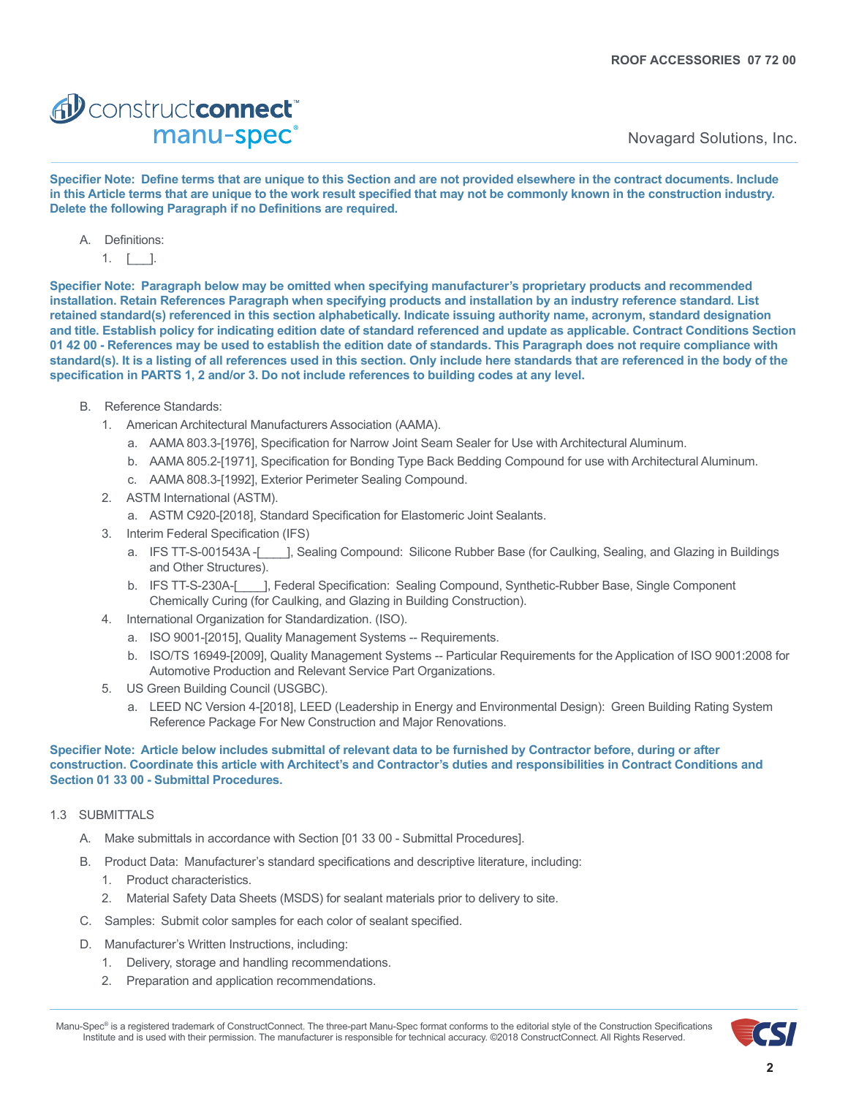# AD construct connect manu-spec<sup>®</sup>

Novagard Solutions, Inc.

**Specifier Note: Define terms that are unique to this Section and are not provided elsewhere in the contract documents. Include in this Article terms that are unique to the work result specified that may not be commonly known in the construction industry. Delete the following Paragraph if no Definitions are required.**

- A. Definitions:
	- 1.  $\lceil \cdot \rceil$ .

**Specifier Note: Paragraph below may be omitted when specifying manufacturer's proprietary products and recommended installation. Retain References Paragraph when specifying products and installation by an industry reference standard. List retained standard(s) referenced in this section alphabetically. Indicate issuing authority name, acronym, standard designation and title. Establish policy for indicating edition date of standard referenced and update as applicable. Contract Conditions Section 01 42 00 - References may be used to establish the edition date of standards. This Paragraph does not require compliance with standard(s). It is a listing of all references used in this section. Only include here standards that are referenced in the body of the specification in PARTS 1, 2 and/or 3. Do not include references to building codes at any level.**

- B. Reference Standards:
	- 1. American Architectural Manufacturers Association (AAMA).
		- a. AAMA 803.3-[1976], Specification for Narrow Joint Seam Sealer for Use with Architectural Aluminum.
		- b. AAMA 805.2-[1971], Specification for Bonding Type Back Bedding Compound for use with Architectural Aluminum.
		- c. AAMA 808.3-[1992], Exterior Perimeter Sealing Compound.
	- 2. ASTM International (ASTM).
		- a. ASTM C920-[2018], Standard Specification for Elastomeric Joint Sealants.
	- 3. Interim Federal Specification (IFS)
		- a. IFS TT-S-001543A -[\_\_\_\_], Sealing Compound: Silicone Rubber Base (for Caulking, Sealing, and Glazing in Buildings and Other Structures).
		- b. IFS TT-S-230A-[\_\_\_\_], Federal Specification: Sealing Compound, Synthetic-Rubber Base, Single Component Chemically Curing (for Caulking, and Glazing in Building Construction).
	- 4. International Organization for Standardization. (ISO).
		- a. ISO 9001-[2015], Quality Management Systems -- Requirements.
		- b. ISO/TS 16949-[2009], Quality Management Systems -- Particular Requirements for the Application of ISO 9001:2008 for Automotive Production and Relevant Service Part Organizations.
	- 5. US Green Building Council (USGBC).
		- a. LEED NC Version 4-[2018], LEED (Leadership in Energy and Environmental Design): Green Building Rating System Reference Package For New Construction and Major Renovations.

#### **Specifier Note: Article below includes submittal of relevant data to be furnished by Contractor before, during or after construction. Coordinate this article with Architect's and Contractor's duties and responsibilities in Contract Conditions and Section 01 33 00 - Submittal Procedures.**

## 1.3 SUBMITTALS

- A. Make submittals in accordance with Section [01 33 00 Submittal Procedures].
- B. Product Data: Manufacturer's standard specifications and descriptive literature, including:
	- 1. Product characteristics.
	- 2. Material Safety Data Sheets (MSDS) for sealant materials prior to delivery to site.
- C. Samples: Submit color samples for each color of sealant specified.
- D. Manufacturer's Written Instructions, including:
	- 1. Delivery, storage and handling recommendations.
	- 2. Preparation and application recommendations.

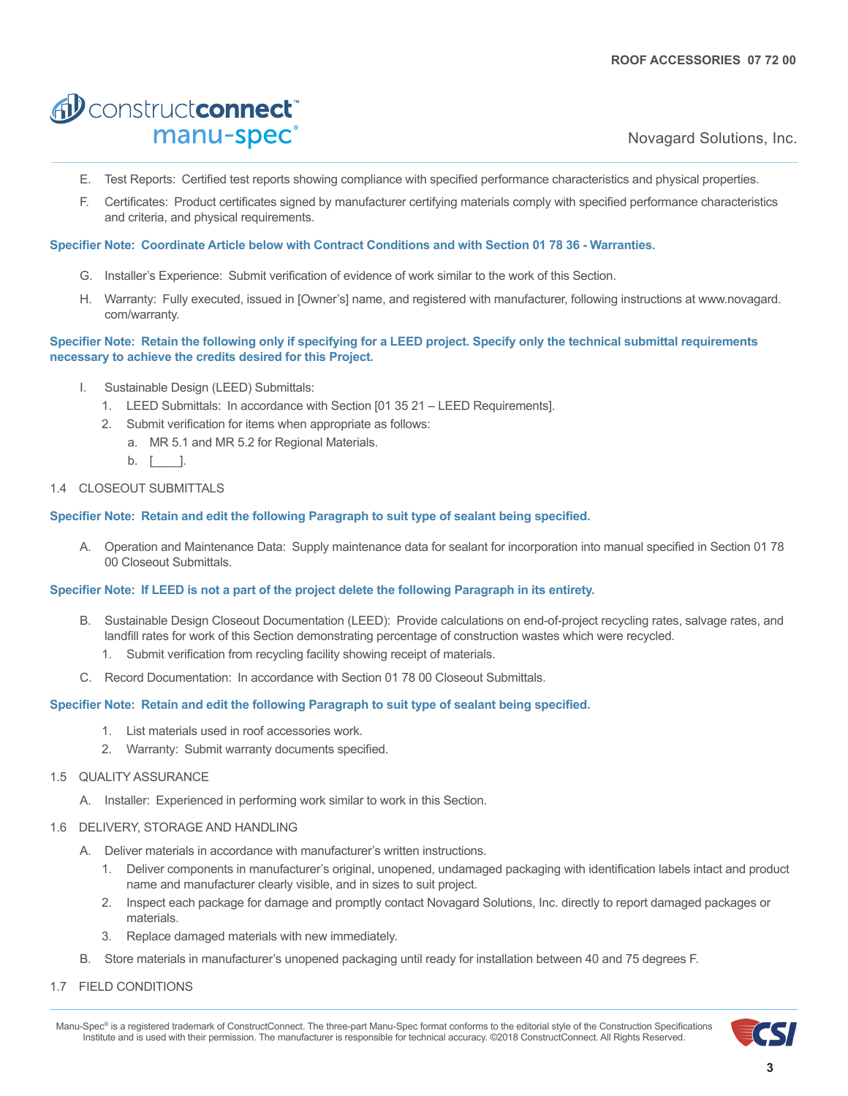# AD constructconnect manu-spec<sup>®</sup>

Novagard Solutions, Inc.

- E. Test Reports: Certified test reports showing compliance with specified performance characteristics and physical properties.
- F. Certificates: Product certificates signed by manufacturer certifying materials comply with specified performance characteristics and criteria, and physical requirements.

#### **Specifier Note: Coordinate Article below with Contract Conditions and with Section 01 78 36 - Warranties.**

- G. Installer's Experience: Submit verification of evidence of work similar to the work of this Section.
- H. Warranty: Fully executed, issued in [Owner's] name, and registered with manufacturer, following instructions at www.novagard. com/warranty.

### **Specifier Note: Retain the following only if specifying for a LEED project. Specify only the technical submittal requirements necessary to achieve the credits desired for this Project.**

- I. Sustainable Design (LEED) Submittals:
	- 1. LEED Submittals: In accordance with Section [01 35 21 LEED Requirements].
	- 2. Submit verification for items when appropriate as follows:
		- a. MR 5.1 and MR 5.2 for Regional Materials.
		- $b.$   $\lceil$   $\rceil$ .

## 1.4 CLOSEOUT SUBMITTALS

## **Specifier Note: Retain and edit the following Paragraph to suit type of sealant being specified.**

A. Operation and Maintenance Data: Supply maintenance data for sealant for incorporation into manual specified in Section 01 78 00 Closeout Submittals.

## **Specifier Note: If LEED is not a part of the project delete the following Paragraph in its entirety.**

- B. Sustainable Design Closeout Documentation (LEED): Provide calculations on end-of-project recycling rates, salvage rates, and landfill rates for work of this Section demonstrating percentage of construction wastes which were recycled.
	- 1. Submit verification from recycling facility showing receipt of materials.
- C. Record Documentation: In accordance with Section 01 78 00 Closeout Submittals.

#### **Specifier Note: Retain and edit the following Paragraph to suit type of sealant being specified.**

- 1. List materials used in roof accessories work.
- 2. Warranty: Submit warranty documents specified.

#### 1.5 QUALITY ASSURANCE

A. Installer: Experienced in performing work similar to work in this Section.

#### 1.6 DELIVERY, STORAGE AND HANDLING

- A. Deliver materials in accordance with manufacturer's written instructions.
	- 1. Deliver components in manufacturer's original, unopened, undamaged packaging with identification labels intact and product name and manufacturer clearly visible, and in sizes to suit project.
	- 2. Inspect each package for damage and promptly contact Novagard Solutions, Inc. directly to report damaged packages or materials.
	- 3. Replace damaged materials with new immediately.
- B. Store materials in manufacturer's unopened packaging until ready for installation between 40 and 75 degrees F.

## 1.7 FIELD CONDITIONS

Manu-Spec® is a registered trademark of ConstructConnect. The three-part Manu-Spec format conforms to the editorial style of the Construction Specifications Institute and is used with their permission. The manufacturer is responsible for technical accuracy. ©2018 ConstructConnect. All Rights Reserved.

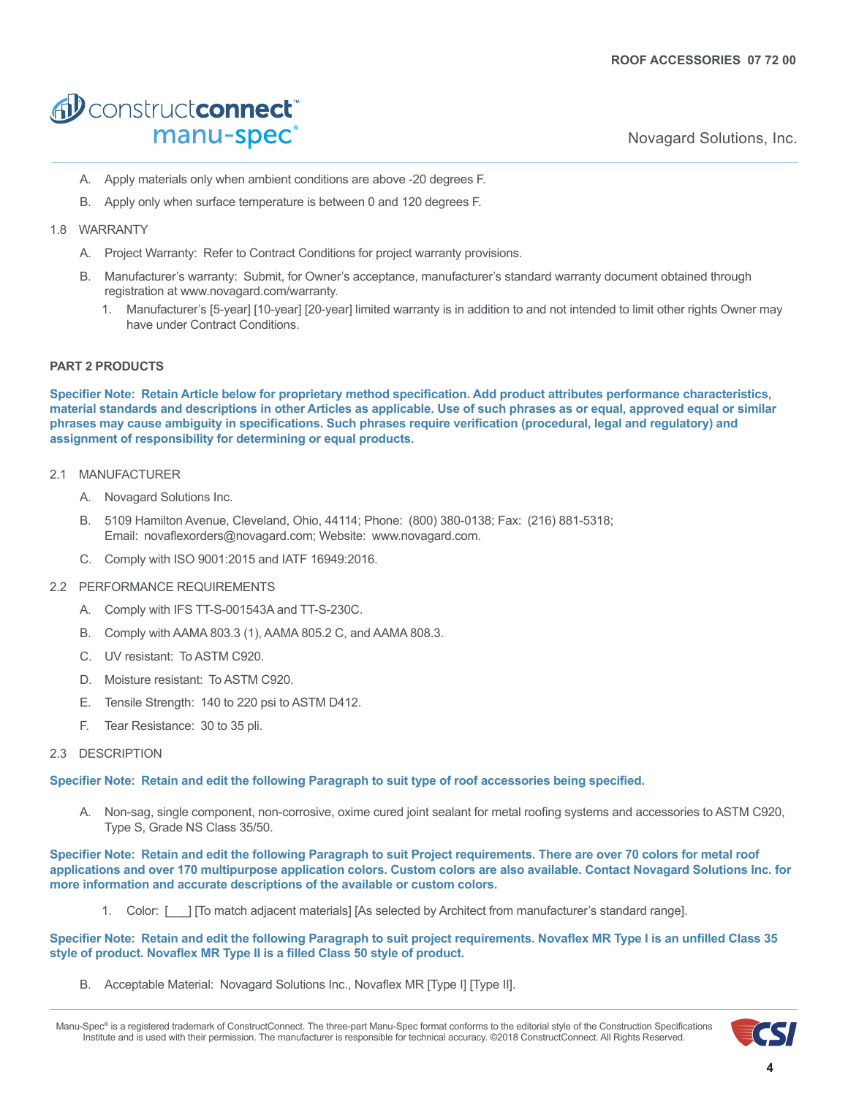# AD constructconnect manu-spec<sup>®</sup>

Novagard Solutions, Inc.

- A. Apply materials only when ambient conditions are above -20 degrees F.
- B. Apply only when surface temperature is between 0 and 120 degrees F.

## 1.8 WARRANTY

- A. Project Warranty: Refer to Contract Conditions for project warranty provisions.
- B. Manufacturer's warranty: Submit, for Owner's acceptance, manufacturer's standard warranty document obtained through registration at www.novagard.com/warranty.
	- 1. Manufacturer's [5-year] [10-year] [20-year] limited warranty is in addition to and not intended to limit other rights Owner may have under Contract Conditions.

## **PART 2 PRODUCTS**

**Specifier Note: Retain Article below for proprietary method specification. Add product attributes performance characteristics, material standards and descriptions in other Articles as applicable. Use of such phrases as or equal, approved equal or similar phrases may cause ambiguity in specifications. Such phrases require verification (procedural, legal and regulatory) and assignment of responsibility for determining or equal products.**

### 2.1 MANUFACTURER

- A. Novagard Solutions Inc.
- B. 5109 Hamilton Avenue, Cleveland, Ohio, 44114; Phone: (800) 380-0138; Fax: (216) 881-5318; Email: novaflexorders@novagard.com; Website: www.novagard.com.
- C. Comply with ISO 9001:2015 and IATF 16949:2016.

#### 2.2 PERFORMANCE REQUIREMENTS

- A. Comply with IFS TT-S-001543A and TT-S-230C.
- B. Comply with AAMA 803.3 (1), AAMA 805.2 C, and AAMA 808.3.
- C. UV resistant: To ASTM C920.
- D. Moisture resistant: To ASTM C920.
- E. Tensile Strength: 140 to 220 psi to ASTM D412.
- F. Tear Resistance: 30 to 35 pli.

### 2.3 DESCRIPTION

#### **Specifier Note: Retain and edit the following Paragraph to suit type of roof accessories being specified.**

A. Non-sag, single component, non-corrosive, oxime cured joint sealant for metal roofing systems and accessories to ASTM C920, Type S, Grade NS Class 35/50.

**Specifier Note: Retain and edit the following Paragraph to suit Project requirements. There are over 70 colors for metal roof applications and over 170 multipurpose application colors. Custom colors are also available. Contact Novagard Solutions Inc. for more information and accurate descriptions of the available or custom colors.**

1. Color: [\_\_\_] [To match adjacent materials] [As selected by Architect from manufacturer's standard range].

#### **Specifier Note: Retain and edit the following Paragraph to suit project requirements. Novaflex MR Type I is an unfilled Class 35 style of product. Novaflex MR Type II is a filled Class 50 style of product.**

B. Acceptable Material: Novagard Solutions Inc., Novaflex MR [Type I] [Type II].

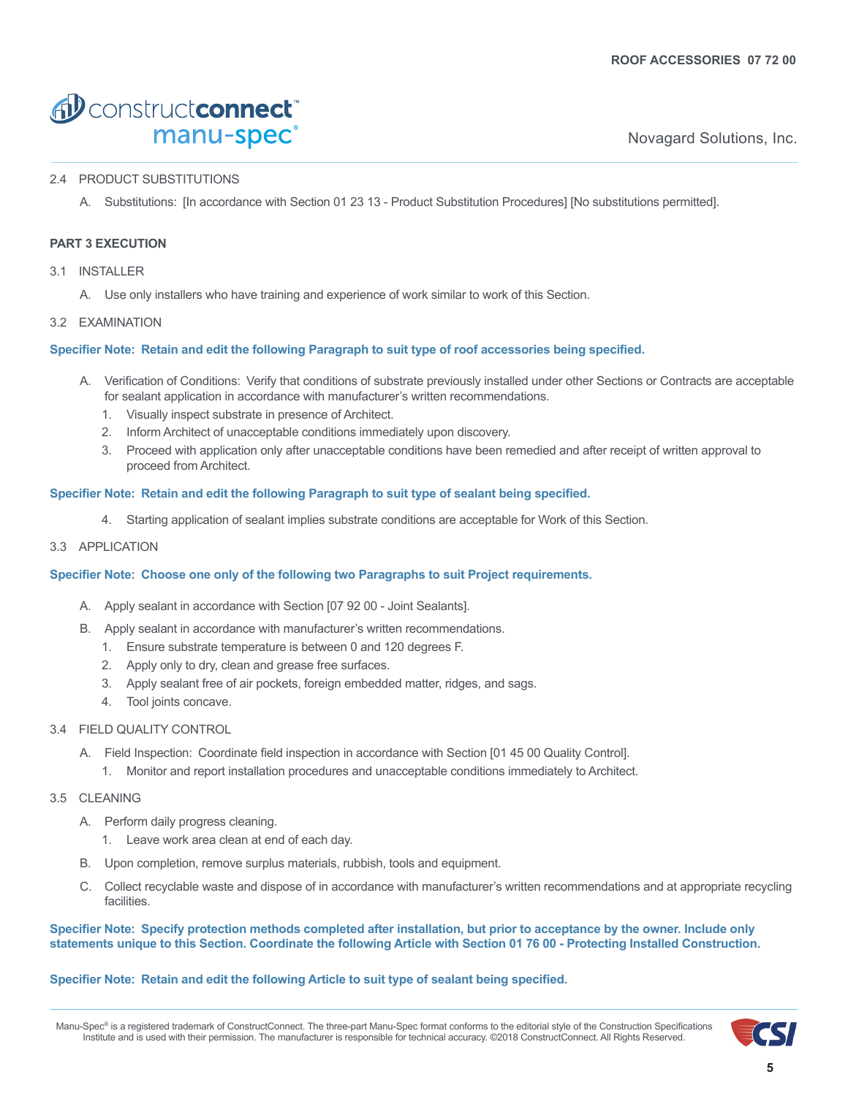# AD construct connect manu-spec<sup>®</sup>

Novagard Solutions, Inc.

## 2.4 PRODUCT SUBSTITUTIONS

A. Substitutions: [In accordance with Section 01 23 13 - Product Substitution Procedures] [No substitutions permitted].

# **PART 3 EXECUTION**

- 3.1 INSTALLER
	- A. Use only installers who have training and experience of work similar to work of this Section.

## 3.2 EXAMINATION

## **Specifier Note: Retain and edit the following Paragraph to suit type of roof accessories being specified.**

- A. Verification of Conditions: Verify that conditions of substrate previously installed under other Sections or Contracts are acceptable for sealant application in accordance with manufacturer's written recommendations.
	- 1. Visually inspect substrate in presence of Architect.
	- 2. Inform Architect of unacceptable conditions immediately upon discovery.
	- 3. Proceed with application only after unacceptable conditions have been remedied and after receipt of written approval to proceed from Architect.

## **Specifier Note: Retain and edit the following Paragraph to suit type of sealant being specified.**

4. Starting application of sealant implies substrate conditions are acceptable for Work of this Section.

### 3.3 APPLICATION

#### **Specifier Note: Choose one only of the following two Paragraphs to suit Project requirements.**

- A. Apply sealant in accordance with Section [07 92 00 Joint Sealants].
- B. Apply sealant in accordance with manufacturer's written recommendations.
	- 1. Ensure substrate temperature is between 0 and 120 degrees F.
	- 2. Apply only to dry, clean and grease free surfaces.
	- 3. Apply sealant free of air pockets, foreign embedded matter, ridges, and sags.
	- 4. Tool joints concave.

#### 3.4 FIELD QUALITY CONTROL

- A. Field Inspection: Coordinate field inspection in accordance with Section [01 45 00 Quality Control].
	- 1. Monitor and report installation procedures and unacceptable conditions immediately to Architect.

## 3.5 CLEANING

- A. Perform daily progress cleaning.
	- 1. Leave work area clean at end of each day.
- B. Upon completion, remove surplus materials, rubbish, tools and equipment.
- C. Collect recyclable waste and dispose of in accordance with manufacturer's written recommendations and at appropriate recycling facilities.

## **Specifier Note: Specify protection methods completed after installation, but prior to acceptance by the owner. Include only statements unique to this Section. Coordinate the following Article with Section 01 76 00 - Protecting Installed Construction.**

## **Specifier Note: Retain and edit the following Article to suit type of sealant being specified.**

Manu-Spec® is a registered trademark of ConstructConnect. The three-part Manu-Spec format conforms to the editorial style of the Construction Specifications Institute and is used with their permission. The manufacturer is responsible for technical accuracy. ©2018 ConstructConnect. All Rights Reserved.